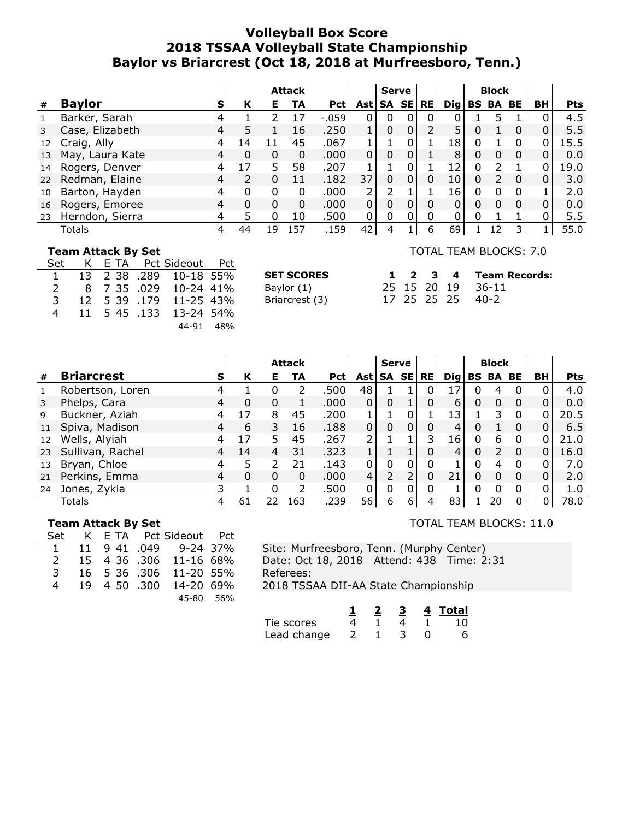## **Volleyball Box Score 2018 TSSAA Volleyball State Championship Baylor vs Briarcrest (Oct 18, 2018 at Murfreesboro, Tenn.)**

|    |                        |   | <b>Attack</b> |    |     | <b>Serve</b> |          |             | <b>Block</b> |           |                 |   |                 |          |    |            |
|----|------------------------|---|---------------|----|-----|--------------|----------|-------------|--------------|-----------|-----------------|---|-----------------|----------|----|------------|
| #  | <b>Baylor</b><br>s     |   | К             | Е. | TA  | <b>Pct</b>   | Ast l    |             | SA SE        | <b>RE</b> | $\mathbf{Di}$ g |   | <b>BS BA BE</b> |          | BH | <b>Pts</b> |
|    | Barker, Sarah          |   |               |    |     | $-.059$      | 0        | 0           |              | $\Omega$  |                 |   | 5               |          |    | 4.5        |
|    | Case, Elizabeth<br>4   |   |               |    | 16  | .250         |          | 0           |              |           | 5               | 0 |                 | 0        |    | 5.5        |
| 12 | Craig, Ally            |   | 14            | -1 | 45  | .067         |          |             |              |           | 18              | 0 |                 | 0        | 0  | 15.5       |
| 13 | May, Laura Kate<br>4   |   | 0             | 0  | 0   | .000.        | $\Omega$ | $\mathbf 0$ |              |           | 8               | 0 | $\Omega$        | $\Omega$ | 0  | 0.0        |
| 14 | Rogers, Denver         |   | 17            | 5  | 58  | .207         |          |             | U            |           | 12              | 0 | $\mathcal{P}$   |          | 0  | 19.0       |
|    | 22 Redman, Elaine<br>4 |   |               | 0  | 11  | .182         | 37       | 0           |              | 0         | 10              | 0 | $\mathcal{L}$   | 0        | 0  | 3.0        |
| 10 | Barton, Hayden         |   | 0             | 0  | 0   | .000         | 2        | フ           |              |           | 16              | 0 |                 | 0        |    | 2.0        |
| 16 | Rogers, Emoree<br>4    |   | 0             | 0  | 0   | .000.        | $\Omega$ | 0           |              |           | 0               | 0 |                 |          |    | 0.0        |
| 23 | Herndon, Sierra        | 4 |               | 0  | 10  | .500         | $\Omega$ | 0           |              |           |                 | 0 |                 |          |    | 5.5        |
|    | Totals                 |   | 44            | 19 | 57ء | .159         | 42       | 4           |              | 6         | 69              |   | 12              | 3        |    | 55.0       |

#### **Team Attack By Set**

| Set                    |  | K E TA Pct Sideout Pct |  |
|------------------------|--|------------------------|--|
| $1 \quad \blacksquare$ |  | 13 2 38 .289 10-18 55% |  |
| $\mathcal{L}$          |  | 8 7 35 .029 10-24 41%  |  |
| 3                      |  | 12 5 39 .179 11-25 43% |  |
| 4                      |  | 11 5 45 .133 13-24 54% |  |
|                        |  | 44-91 48%              |  |

| <b>SET SCORES</b> |
|-------------------|
| Baylor (1)        |
| Briarcrest (3)    |
|                   |

#### TOTAL TEAM BLOCKS: 7.0

| SET SCORES     |  |  | 1 2 3 4 Team Records: |
|----------------|--|--|-----------------------|
| Baylor (1)     |  |  | 25 15 20 19 36-11     |
| Briarcrest (3) |  |  | 17 25 25 25 40-2      |

|    |                        |   | <b>Attack</b> |    |               |            | <b>Serve</b> |                |   |           | <b>Block</b>    |   |                 |          |    |            |
|----|------------------------|---|---------------|----|---------------|------------|--------------|----------------|---|-----------|-----------------|---|-----------------|----------|----|------------|
| #  | <b>Briarcrest</b><br>s |   | К             | Е. | TA            | <b>Pct</b> | Ast SA SE    |                |   | <b>RE</b> | $\mathbf{Di}$ g |   | <b>BS BA BE</b> |          | BH | <b>Pts</b> |
|    | Robertson, Loren       |   |               | 0  | 2             | .500       | 48           |                |   | 0         | 17              | 0 | 4               | $\Omega$ |    | 4.0        |
|    | Phelps, Cara           | 4 | 0             | 0  |               | .000       | 0            | 0              |   | 0         | 6               | 0 | $\Omega$        | $\Omega$ |    | 0.0        |
| 9  | Buckner, Aziah         |   | 17            | 8  | 45            | .200       |              |                |   |           | 13              |   | 3               | 0        | 0  | 20.5       |
| 11 | Spiva, Madison         |   | 6             | 3  | 16            | .188       | 0            | $\Omega$       | 0 |           | 4               | 0 |                 | 0        |    | 6.5        |
| 12 | Wells, Alyiah          |   | 17            | 5  | 45            | .267       | 2            |                |   | 3         | 16              | 0 | 6               | 0        | 0  | 21.0       |
| 23 | Sullivan, Rachel       | 4 | 14            | 4  | 31            | .323       |              |                |   |           | 4               | 0 | $\mathcal{P}$   | $\Omega$ | 0  | 16.0       |
| 13 | Bryan, Chloe           |   | 5             | フ  | 21            | .143       | 0            | 0              | 0 |           |                 | 0 | 4               | 0        | O  | 7.0        |
| 21 | Perkins, Emma          | 4 | 0             | 0  | 0             | .000       | 4            | $\overline{2}$ |   | 0         | 21              | 0 | $\Omega$        | 0        | 0  | 2.0        |
| 24 | Jones, Zykia           | 3 |               |    | $\mathcal{L}$ | .500       | 0            | 0              | 0 |           |                 | 0 | <sup>0</sup>    | 0        | 0  | 1.0        |
|    | Totals                 | 4 | 61            | 22 | -63           | .239       | 56           | 6              | 6 | 4         | 83              |   | 20              | 0        | 0  | 78.0       |

## **Team Attack By Set**

| Set            | K E TA Pct Sideout Pct |  |                        |  |
|----------------|------------------------|--|------------------------|--|
| $\mathbf{1}$   |                        |  | 11 9 41 .049 9-24 37%  |  |
| $\mathcal{P}$  |                        |  | 15 4 36 .306 11-16 68% |  |
| 3              |                        |  | 16 5 36 .306 11-20 55% |  |
| $\overline{4}$ |                        |  | 19 4 50 .300 14-20 69% |  |
|                |                        |  | 45-80 56%              |  |

## TOTAL TEAM BLOCKS: 11.0

Site: Murfreesboro, Tenn. (Murphy Center) Date: Oct 18, 2018 Attend: 438 Time: 2:31 Referees: 2018 TSSAA DII-AA State Championship

|             |  |  | 4 Total |
|-------------|--|--|---------|
| Tie scores  |  |  | 10.     |
| Lead change |  |  |         |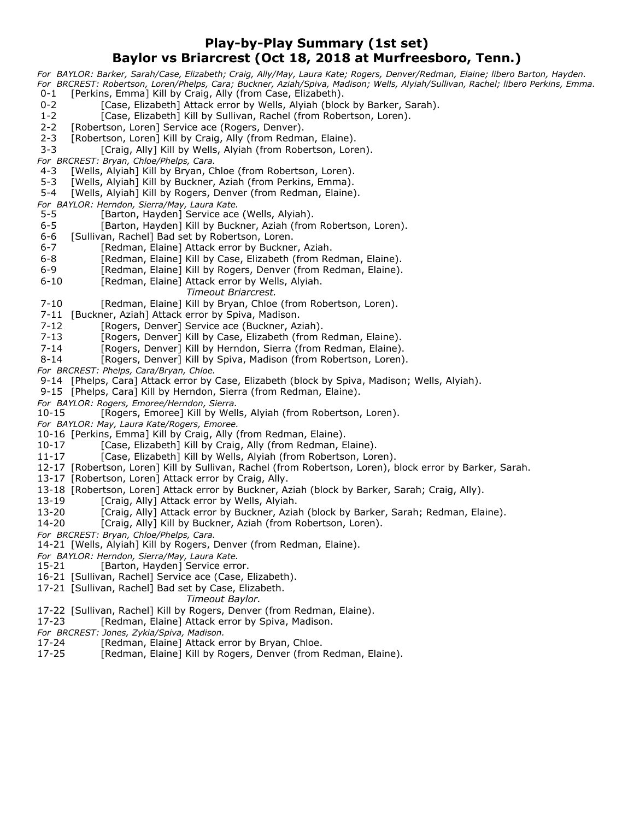## **Play-by-Play Summary (1st set) Baylor vs Briarcrest (Oct 18, 2018 at Murfreesboro, Tenn.)**

*For BAYLOR: Barker, Sarah/Case, Elizabeth; Craig, Ally/May, Laura Kate; Rogers, Denver/Redman, Elaine; libero Barton, Hayden. For BRCREST: Robertson, Loren/Phelps, Cara; Buckner, Aziah/Spiva, Madison; Wells, Alyiah/Sullivan, Rachel; libero Perkins, Emma.* [Perkins, Emma] Kill by Craig, Ally (from Case, Elizabeth).

- 0-2 [Case, Elizabeth] Attack error by Wells, Alyiah (block by Barker, Sarah).
- 1-2 [Case, Elizabeth] Kill by Sullivan, Rachel (from Robertson, Loren).
- 2-2 [Robertson, Loren] Service ace (Rogers, Denver).
- 2-3 [Robertson, Loren] Kill by Craig, Ally (from Redman, Elaine).
- 3-3 [Craig, Ally] Kill by Wells, Alyiah (from Robertson, Loren).
- *For BRCREST: Bryan, Chloe/Phelps, Cara.*
- 4-3 [Wells, Alyiah] Kill by Bryan, Chloe (from Robertson, Loren).
- 5-3 [Wells, Alyiah] Kill by Buckner, Aziah (from Perkins, Emma).
- 5-4 [Wells, Alyiah] Kill by Rogers, Denver (from Redman, Elaine).
- *For BAYLOR: Herndon, Sierra/May, Laura Kate.*
- 5-5 [Barton, Hayden] Service ace (Wells, Alyiah).
- 6-5 [Barton, Hayden] Kill by Buckner, Aziah (from Robertson, Loren).
- 6-6 [Sullivan, Rachel] Bad set by Robertson, Loren.
- 6-7 [Redman, Elaine] Attack error by Buckner, Aziah.
- 6-8 [Redman, Elaine] Kill by Case, Elizabeth (from Redman, Elaine).
- 6-9 [Redman, Elaine] Kill by Rogers, Denver (from Redman, Elaine).
- 6-10 [Redman, Elaine] Attack error by Wells, Alyiah.
	- *Timeout Briarcrest.*
- 7-10 [Redman, Elaine] Kill by Bryan, Chloe (from Robertson, Loren).
- 7-11 [Buckner, Aziah] Attack error by Spiva, Madison.
- 7-12 [Rogers, Denver] Service ace (Buckner, Aziah).
- 7-13 [Rogers, Denver] Kill by Case, Elizabeth (from Redman, Elaine).<br>7-14 [Rogers, Denver] Kill by Herndon, Sierra (from Redman, Elaine).
- [Rogers, Denver] Kill by Herndon, Sierra (from Redman, Elaine).
- 8-14 [Rogers, Denver] Kill by Spiva, Madison (from Robertson, Loren).
- *For BRCREST: Phelps, Cara/Bryan, Chloe.*
- 9-14 [Phelps, Cara] Attack error by Case, Elizabeth (block by Spiva, Madison; Wells, Alyiah).
- 9-15 [Phelps, Cara] Kill by Herndon, Sierra (from Redman, Elaine).
- *For BAYLOR: Rogers, Emoree/Herndon, Sierra.*
- 10-15 [Rogers, Emoree] Kill by Wells, Alyiah (from Robertson, Loren).
- *For BAYLOR: May, Laura Kate/Rogers, Emoree.*
- 10-16 [Perkins, Emma] Kill by Craig, Ally (from Redman, Elaine).
- 10-17 [Case, Elizabeth] Kill by Craig, Ally (from Redman, Elaine).
- 11-17 [Case, Elizabeth] Kill by Wells, Alyiah (from Robertson, Loren).
- 12-17 [Robertson, Loren] Kill by Sullivan, Rachel (from Robertson, Loren), block error by Barker, Sarah.
- 13-17 [Robertson, Loren] Attack error by Craig, Ally.
- 13-18 [Robertson, Loren] Attack error by Buckner, Aziah (block by Barker, Sarah; Craig, Ally).
- 13-19 [Craig, Ally] Attack error by Wells, Alyiah.
- 13-20 [Craig, Ally] Attack error by Buckner, Aziah (block by Barker, Sarah; Redman, Elaine).
- 14-20 [Craig, Ally] Kill by Buckner, Aziah (from Robertson, Loren).
- *For BRCREST: Bryan, Chloe/Phelps, Cara.*
- 14-21 [Wells, Alyiah] Kill by Rogers, Denver (from Redman, Elaine).
- *For BAYLOR: Herndon, Sierra/May, Laura Kate.*
- [Barton, Hayden] Service error.
- 16-21 [Sullivan, Rachel] Service ace (Case, Elizabeth).
- 17-21 [Sullivan, Rachel] Bad set by Case, Elizabeth.

*Timeout Baylor.*

- 17-22 [Sullivan, Rachel] Kill by Rogers, Denver (from Redman, Elaine).
- 17-23 [Redman, Elaine] Attack error by Spiva, Madison.
- 
- *For BRCREST: Jones, Zykia/Spiva, Madison.* [Redman, Elaine] Attack error by Bryan, Chloe.
- 17-25 [Redman, Elaine] Kill by Rogers, Denver (from Redman, Elaine).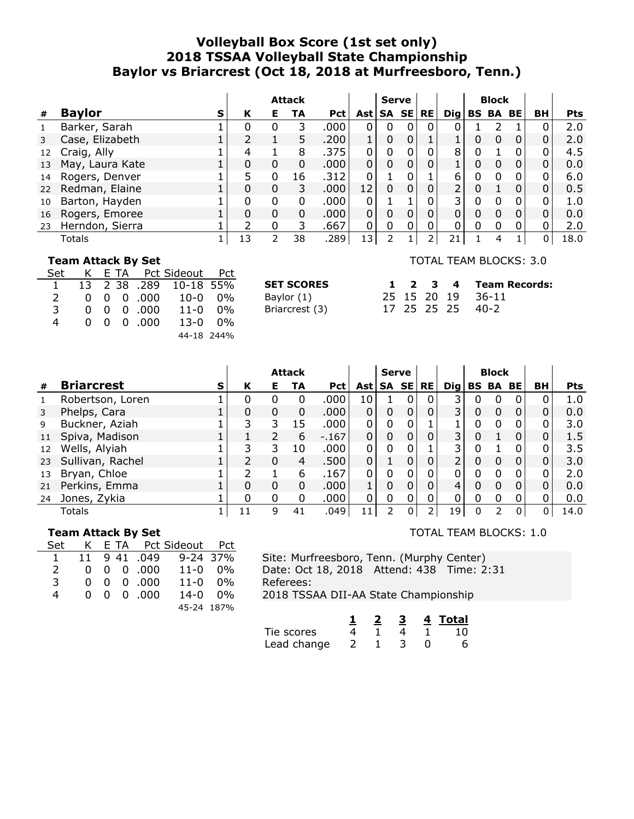# **Volleyball Box Score (1st set only) 2018 TSSAA Volleyball State Championship Baylor vs Briarcrest (Oct 18, 2018 at Murfreesboro, Tenn.)**

|    |                 |   |    |   | <b>Attack</b> |            |             | <b>Serve</b> |       |           |                 |   | <b>Block</b>    |   |                |            |
|----|-----------------|---|----|---|---------------|------------|-------------|--------------|-------|-----------|-----------------|---|-----------------|---|----------------|------------|
| #  | <b>Baylor</b>   | s | К  | Е | TA            | <b>Pct</b> | Ast l       |              | SA SE | <b>RE</b> | $\mathbf{Di}$ g |   | <b>BS BA BE</b> |   | BH             | <b>Pts</b> |
| 1  | Barker, Sarah   |   | O  | 0 | 3             | .000       | 0           | 0            |       | 0         |                 |   |                 |   |                | 2.0        |
| 3  | Case, Elizabeth |   |    |   | 5             | .200       | 1           | 0            |       |           |                 | 0 | $\Omega$        | 0 | $\Omega$       | 2.0        |
| 12 | Craig, Ally     |   | 4  |   | 8             | .375       | $\Omega$    | 0            |       |           | 8               | 0 |                 | 0 | 0              | 4.5        |
| 13 | May, Laura Kate |   | 0  | 0 | $\Omega$      | .000       | $\Omega$    | $\mathbf 0$  |       |           |                 | 0 |                 | 0 | $\overline{0}$ | 0.0        |
| 14 | Rogers, Denver  |   |    | 0 | 16            | .312       | $\Omega$    |              |       |           | 6               | 0 |                 | 0 | $\Omega$       | 6.0        |
| 22 | Redman, Elaine  |   | 0  | 0 | 3.            | .000.      | 12          | 0            |       |           | 2               | 0 |                 | 0 | $\Omega$       | 0.5        |
| 10 | Barton, Hayden  |   |    | 0 | 0             | .000       | 0           |              |       |           | 3               | 0 |                 | 0 |                | 1.0        |
| 16 | Rogers, Emoree  |   | 0  | 0 | 0             | .000       | $\mathbf 0$ | 0            |       | 0         | $\Omega$        | 0 | $\Omega$        | 0 | $\mathbf{0}$   | 0.0        |
| 23 | Herndon, Sierra |   |    | O | 3             | .667       | $\Omega$    | 0            |       | 0         |                 | 0 |                 | 0 |                | 2.0        |
|    | Totals          |   | 13 |   | 38            | .289       | l 3         | າ            |       |           | 21              |   | 4               |   | 0              | 18.0       |

#### **Team Attack By Set**

| Set           |  | K E TA Pct Sideout Pct |                                 |  |
|---------------|--|------------------------|---------------------------------|--|
| $\mathbf{1}$  |  |                        | 13 2 38 .289 10-18 55%          |  |
| $\mathcal{L}$ |  |                        | $0 \t0 \t0 \t.000 \t10-0 \t0\%$ |  |
| 3             |  | $0 \t0 \t0 \t.000$     | $11 - 0$ $0\%$                  |  |
| 4             |  | $0 \t0 \t0 \t.000$     | 13-0 0%                         |  |
|               |  |                        | 44-18 244%                      |  |

| <b>SET SCORES</b> |  | $1 \t2 \t3 \t4$ |  |
|-------------------|--|-----------------|--|
| Baylor (1)        |  | 25 15 20 19     |  |
| Briarcrest (3)    |  | 17 25 25 25     |  |

#### TOTAL TEAM BLOCKS: 3.0

TOTAL TEAM BLOCKS: 1.0

|  |  | 1 2 3 4 Team Records: |
|--|--|-----------------------|
|  |  | 25 15 20 19 36-11     |
|  |  | 17 25 25 25 40-2      |

|    |                   |   | <b>Attack</b> |    | <b>Serve</b> |            |                                         |          | <b>Block</b> |        |                                   |          |              |   |    |            |
|----|-------------------|---|---------------|----|--------------|------------|-----------------------------------------|----------|--------------|--------|-----------------------------------|----------|--------------|---|----|------------|
| #  | <b>Briarcrest</b> | S | К             | Е. | TA           | <b>Pct</b> | $\textsf{Ast} \textsf{SA} \textsf{SE} $ |          |              | l RE l | $\textsf{Dig} \textsf{BS BA BE} $ |          |              |   | BH | <b>Pts</b> |
| 1  | Robertson, Loren  |   | 0             |    | 0            | .000       | 10                                      |          | 0            | 0      | 3.                                | 0        | 0            | 0 | 0  | 1.0        |
| 3  | Phelps, Cara      |   | 0             | 0  | 0            | .000.      | 0                                       | 0        | 0            | 0      | 3 <sup>1</sup>                    | 0        | 0            | 0 | 0  | 0.0        |
| 9  | Buckner, Aziah    |   | 3             | 3  | 15           | .000       | 0                                       | 0        |              |        |                                   | 0        | 0            |   | 0  | 3.0        |
| 11 | Spiva, Madison    |   |               |    | 6            | $-167$     | 0                                       | $\Omega$ |              |        | 3 <sub>1</sub>                    | 0        |              |   | 0  | 1.5        |
| 12 | Wells, Alyiah     |   | 3             | 3  | 10           | .000       | 0                                       | 0        |              |        | З.                                | 0        |              |   | 0  | 3.5        |
| 23 | Sullivan, Rachel  |   |               | 0  | 4            | .500       | 0                                       |          |              |        | 2                                 | 0        | 0            | 0 | 0  | 3.0        |
| 13 | Bryan, Chloe      |   |               |    | 6            | .167       | 0                                       | 0        |              | 0      | 0                                 | 0        | <sup>0</sup> |   |    | 2.0        |
| 21 | Perkins, Emma     |   | $\Omega$      | 0  | 0            | .000       |                                         | 0        | 0            | 0      | 4                                 | $\Omega$ | $\Omega$     | 0 | 0  | 0.0        |
| 24 | Jones, Zykia      |   | 0             | 0  | 0            | .000       | 0                                       | $\Omega$ | 0            | 0      | 0                                 | 0        | 0            |   | 0  | 0.0        |
|    | Totals            |   | 11            | 9  | 41           | .049       | 11                                      | 2        | 0            |        | 19                                | 0        | 2            | 0 | 0  | 14.0       |

#### **Team Attack By Set**

| Set           |  |                             | K E TA Pct Sideout Pct |  |
|---------------|--|-----------------------------|------------------------|--|
|               |  |                             | 11 9 41 .049 9-24 37%  |  |
| $\mathcal{L}$ |  | $0 \t0 \t0 \t0.000$         | $11-0$ 0%              |  |
| 3             |  | $0 \t0 \t0 \t.000$          | $11 - 0$ $0\%$         |  |
| 4             |  | $0\quad 0\quad 0\quad .000$ | 14-0 0%                |  |
|               |  |                             | 45-24 187%             |  |

Site: Murfreesboro, Tenn. (Murphy Center) Date: Oct 18, 2018 Attend: 438 Time: 2:31 Referees: 2018 TSSAA DII-AA State Championship

**1 2 3 4 Total** Tie scores 4 1 4 1 10 Lead change  $2$  1 3 0 6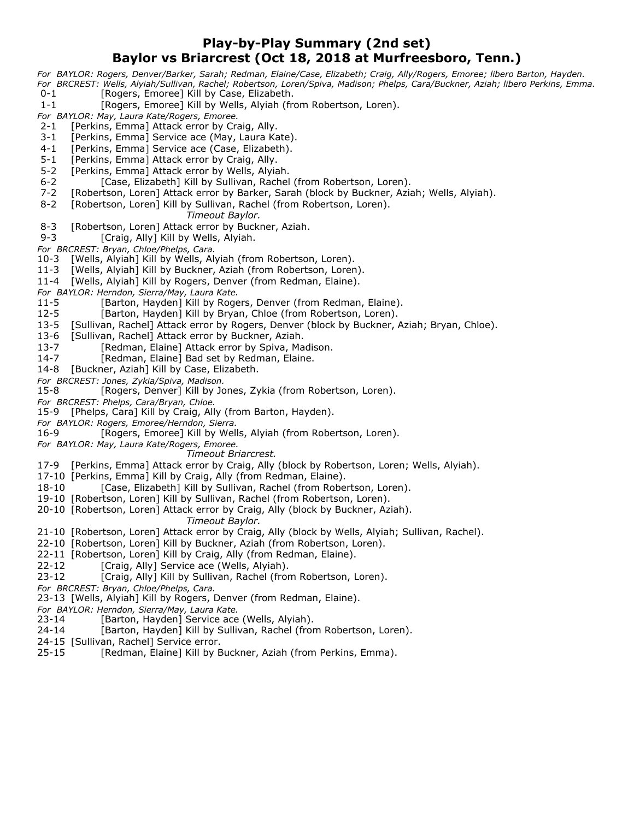## **Play-by-Play Summary (2nd set) Baylor vs Briarcrest (Oct 18, 2018 at Murfreesboro, Tenn.)**

*For BAYLOR: Rogers, Denver/Barker, Sarah; Redman, Elaine/Case, Elizabeth; Craig, Ally/Rogers, Emoree; libero Barton, Hayden. For BRCREST: Wells, Alyiah/Sullivan, Rachel; Robertson, Loren/Spiva, Madison; Phelps, Cara/Buckner, Aziah; libero Perkins, Emma.*

- 0-1 [Rogers, Emoree] Kill by Case, Elizabeth.
- 1-1 [Rogers, Emoree] Kill by Wells, Alyiah (from Robertson, Loren).
- *For BAYLOR: May, Laura Kate/Rogers, Emoree.*
- 2-1 [Perkins, Emma] Attack error by Craig, Ally.
- 3-1 [Perkins, Emma] Service ace (May, Laura Kate).
- 4-1 [Perkins, Emma] Service ace (Case, Elizabeth).
- 5-1 [Perkins, Emma] Attack error by Craig, Ally.
- 5-2 [Perkins, Emma] Attack error by Wells, Alyiah.
- 6-2 [Case, Elizabeth] Kill by Sullivan, Rachel (from Robertson, Loren).
- 7-2 [Robertson, Loren] Attack error by Barker, Sarah (block by Buckner, Aziah; Wells, Alyiah).
- 8-2 [Robertson, Loren] Kill by Sullivan, Rachel (from Robertson, Loren).
	- *Timeout Baylor.*
- 8-3 [Robertson, Loren] Attack error by Buckner, Aziah.
- 9-3 [Craig, Ally] Kill by Wells, Alyiah.
- *For BRCREST: Bryan, Chloe/Phelps, Cara.*
- 10-3 [Wells, Alyiah] Kill by Wells, Alyiah (from Robertson, Loren).
- 11-3 [Wells, Alyiah] Kill by Buckner, Aziah (from Robertson, Loren).
- 11-4 [Wells, Alyiah] Kill by Rogers, Denver (from Redman, Elaine).
- *For BAYLOR: Herndon, Sierra/May, Laura Kate.*
- 11-5 [Barton, Hayden] Kill by Rogers, Denver (from Redman, Elaine).
- 12-5 [Barton, Hayden] Kill by Bryan, Chloe (from Robertson, Loren).
- 13-5 [Sullivan, Rachel] Attack error by Rogers, Denver (block by Buckner, Aziah; Bryan, Chloe).
- 13-6 [Sullivan, Rachel] Attack error by Buckner, Aziah.
- 13-7 [Redman, Elaine] Attack error by Spiva, Madison.
- 14-7 [Redman, Elaine] Bad set by Redman, Elaine.
- 14-8 [Buckner, Aziah] Kill by Case, Elizabeth.
- *For BRCREST: Jones, Zykia/Spiva, Madison.*
- [Rogers, Denver] Kill by Jones, Zykia (from Robertson, Loren).
- *For BRCREST: Phelps, Cara/Bryan, Chloe.*
- 15-9 [Phelps, Cara] Kill by Craig, Ally (from Barton, Hayden).
- *For BAYLOR: Rogers, Emoree/Herndon, Sierra.*
- 16-9 [Rogers, Emoree] Kill by Wells, Alyiah (from Robertson, Loren).
- *For BAYLOR: May, Laura Kate/Rogers, Emoree.*
	- *Timeout Briarcrest.*
- 17-9 [Perkins, Emma] Attack error by Craig, Ally (block by Robertson, Loren; Wells, Alyiah).
- 17-10 [Perkins, Emma] Kill by Craig, Ally (from Redman, Elaine).
- 18-10 [Case, Elizabeth] Kill by Sullivan, Rachel (from Robertson, Loren).
- 19-10 [Robertson, Loren] Kill by Sullivan, Rachel (from Robertson, Loren).
- 20-10 [Robertson, Loren] Attack error by Craig, Ally (block by Buckner, Aziah). *Timeout Baylor.*
- 21-10 [Robertson, Loren] Attack error by Craig, Ally (block by Wells, Alyiah; Sullivan, Rachel).
- 22-10 [Robertson, Loren] Kill by Buckner, Aziah (from Robertson, Loren).
- 22-11 [Robertson, Loren] Kill by Craig, Ally (from Redman, Elaine).
- 22-12 [Craig, Ally] Service ace (Wells, Alyiah).
- 23-12 [Craig, Ally] Kill by Sullivan, Rachel (from Robertson, Loren).
- *For BRCREST: Bryan, Chloe/Phelps, Cara.*
- 23-13 [Wells, Alyiah] Kill by Rogers, Denver (from Redman, Elaine).
- *For BAYLOR: Herndon, Sierra/May, Laura Kate.*
- 23-14 [Barton, Hayden] Service ace (Wells, Alyiah).
- 24-14 [Barton, Hayden] Kill by Sullivan, Rachel (from Robertson, Loren).
- 24-15 [Sullivan, Rachel] Service error.
- 25-15 [Redman, Elaine] Kill by Buckner, Aziah (from Perkins, Emma).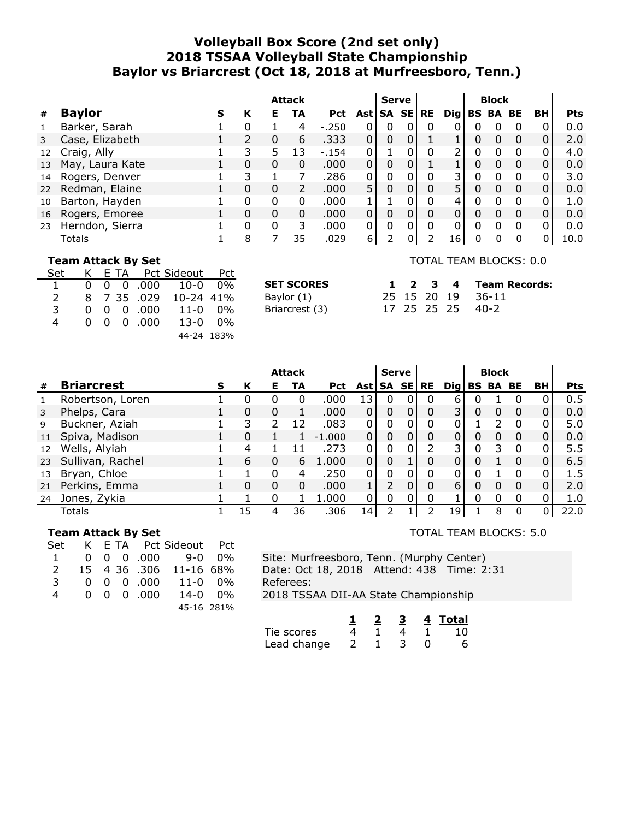# **Volleyball Box Score (2nd set only) 2018 TSSAA Volleyball State Championship Baylor vs Briarcrest (Oct 18, 2018 at Murfreesboro, Tenn.)**

|    |                 |   |          |    | <b>Attack</b> |            |              | <b>Serve</b> |          |           |                 |   | <b>Block</b>    |              |              |            |
|----|-----------------|---|----------|----|---------------|------------|--------------|--------------|----------|-----------|-----------------|---|-----------------|--------------|--------------|------------|
| #  | <b>Baylor</b>   | s | К        | Е. | TA            | <b>Pct</b> | Ast l        | SA SE        |          | <b>RE</b> | $\mathbf{Di}$ g |   | <b>BS BA BE</b> |              | BH           | <b>Pts</b> |
|    | Barker, Sarah   |   |          |    | 4             | $-.250$    | 0            | 0            | 0        | 0         |                 | 0 | 0               | 0            |              | 0.0        |
|    | Case, Elizabeth |   |          | 0  | 6             | .333       | $\mathbf 0$  | 0            | 0        |           |                 | 0 | $\Omega$        | 0            | $\mathbf{0}$ | 2.0        |
| 12 | Craig, Ally     |   | 3        |    | 13            | $-154$     | $\Omega$     |              |          | 0         | $\overline{2}$  | 0 | $\Omega$        | 0            | $\Omega$     | 4.0        |
| 13 | May, Laura Kate |   | 0        | 0  | 0             | .000       | $\mathbf{0}$ | 0            |          |           |                 | 0 | 0               | 0            | $\Omega$     | 0.0        |
| 14 | Rogers, Denver  |   |          |    |               | .286       | $\mathbf{0}$ | 0            |          | 0         | 3               | 0 |                 | 0            | $\Omega$     | 3.0        |
| 22 | Redman, Elaine  |   | 0        | 0  | 2             | .000       | 5            | 0            |          | 0         | 5               | 0 | 0               | 0            | $\Omega$     | 0.0        |
| 10 | Barton, Hayden  |   | 0        | 0  | 0             | .000       |              |              |          | 0         | 4               | 0 |                 | 0            |              | 1.0        |
| 16 | Rogers, Emoree  |   | 0        | 0  | 0             | .000       | $\mathbf{0}$ | 0            |          | 0         | $\Omega$        | 0 | $\Omega$        | 0            | 0            | 0.0        |
| 23 | Herndon, Sierra |   | $\Omega$ | 0  | 3             | .000       | 0            | 0            | $\Omega$ | 0         | $\Omega$        | 0 | 0               | 0            | 0            | 0.0        |
|    | Totals          |   | 8        |    | 35            | .029       | 6            |              | 0        |           | 16              | 0 | $\Omega$        | $\mathbf{0}$ | 0            | 10.0       |

#### **Team Attack By Set**

| Set           |  | K E TA Pct Sideout Pct |                                  |  |
|---------------|--|------------------------|----------------------------------|--|
|               |  |                        | $0 \t0 \t0 \t0.000 \t10-0 \t0\%$ |  |
| $\mathcal{L}$ |  | 8 7 35 .029            | 10-24 41%                        |  |
| 3             |  | $0 \t0 \t0 \t.000$     | 11-0 0%                          |  |
| 4             |  | 0 0 0 000              | 13-0 0%                          |  |
|               |  |                        | 44-24 183%                       |  |

| <b>SET SCORES</b> |  | $1 \t2 \t3 \t4$ |             |
|-------------------|--|-----------------|-------------|
| Baylor (1)        |  | 25 15 20 19     |             |
| $D_{\text{max}}$  |  |                 | 17 DE DE DE |

Briarcrest (3) 17 25 25 25 40-2 **Team Records:** 36-11

TOTAL TEAM BLOCKS: 0.0

|              |                   |   |    |          | <b>Attack</b> |            |       | <b>Serve</b> |   |           |                |   | <b>Block</b> |           |           |            |
|--------------|-------------------|---|----|----------|---------------|------------|-------|--------------|---|-----------|----------------|---|--------------|-----------|-----------|------------|
| #            | <b>Briarcrest</b> | S | К  | Е        | TA            | <b>Pct</b> | Ast l | SA SE        |   | <b>RE</b> | Dia l          |   | <b>BS BA</b> | <b>BE</b> | <b>BH</b> | <b>Pts</b> |
| $\mathbf{1}$ | Robertson, Loren  |   | 0  |          | 0             | .000       | 13    | 0            |   | 0         | 6              | 0 |              |           |           | 0.5        |
| 3            | Phelps, Cara      |   | 0  | 0        |               | .000       | 0     | 0            |   | 0         | 3 <sub>1</sub> | 0 | 0            | 0         |           | 0.0        |
| 9            | Buckner, Aziah    |   | 3  | 2        | 12            | .083       |       | 0            |   |           |                |   |              |           |           | 5.0        |
| 11           | Spiva, Madison    |   | 0  |          |               | $-1.000$   | 0     | 0            |   |           |                | 0 | 0            | 0         |           | 0.0        |
| 12           | Wells, Alyiah     |   | 4  |          |               | .273       |       | 0            |   |           | 3              | 0 |              |           |           | 5.5        |
| 23           | Sullivan, Rachel  |   | 6  | 0        | 6             | 1.000      | 0     | 0            |   |           |                | 0 |              |           |           | 6.5        |
| 13           | Bryan, Chloe      |   |    | $\Omega$ | 4             | .250       | 0     | 0            |   |           |                | 0 |              |           |           | 1.5        |
| 21           | Perkins, Emma     |   | 0  | 0        | 0             | .000       |       | 2            | 0 | 0         | 6              | 0 | $\Omega$     | 0         |           | 2.0        |
| 24           | Jones, Zykia      |   |    | 0        |               | 1.000      | 0     | 0            |   |           |                | 0 | 0            |           |           | 1.0        |
|              | Totals            |   | 15 | 4        | 36            | .306       | 14    |              |   |           | 19             |   | 8            | 0         |           | 22.0       |

#### **Team Attack By Set**

| Set |  | K E TA Pct Sideout Pct |                                  |  |
|-----|--|------------------------|----------------------------------|--|
|     |  |                        | $0 \t0 \t0 \t.000 \t9 - 0 \t0\%$ |  |
| 2   |  |                        | 15 4 36 .306 11-16 68%           |  |
| 3   |  | $0 \t0 \t0 \t.000$     | 11-0 0%                          |  |
| 4   |  | $0 \t0 \t0 \t.000$     | $14 - 0$ $0\%$                   |  |
|     |  |                        | 45-16 281%                       |  |

TOTAL TEAM BLOCKS: 5.0

Site: Murfreesboro, Tenn. (Murphy Center) Date: Oct 18, 2018 Attend: 438 Time: 2:31 Referees:

2018 TSSAA DII-AA State Championship

|             |  |  | 4 Total |
|-------------|--|--|---------|
| Tie scores  |  |  | 1 ∩     |
| Lead change |  |  |         |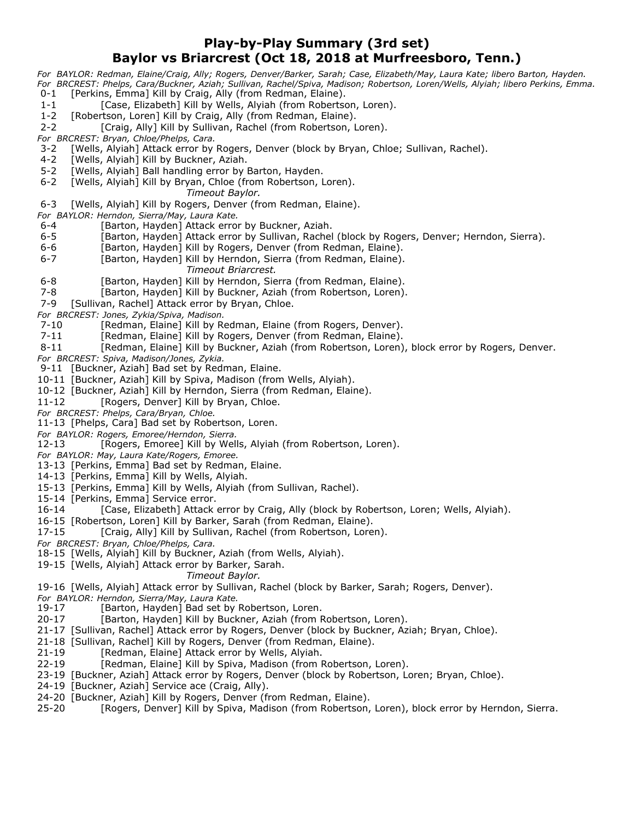## **Play-by-Play Summary (3rd set) Baylor vs Briarcrest (Oct 18, 2018 at Murfreesboro, Tenn.)**

*For BAYLOR: Redman, Elaine/Craig, Ally; Rogers, Denver/Barker, Sarah; Case, Elizabeth/May, Laura Kate; libero Barton, Hayden. For BRCREST: Phelps, Cara/Buckner, Aziah; Sullivan, Rachel/Spiva, Madison; Robertson, Loren/Wells, Alyiah; libero Perkins, Emma.* 0-1 [Perkins, Emma] Kill by Craig, Ally (from Redman, Elaine).

- 1-1 [Case, Elizabeth] Kill by Wells, Alyiah (from Robertson, Loren).
- 1-2 [Robertson, Loren] Kill by Craig, Ally (from Redman, Elaine).
- 2-2 [Craig, Ally] Kill by Sullivan, Rachel (from Robertson, Loren).

*For BRCREST: Bryan, Chloe/Phelps, Cara.*

- 3-2 [Wells, Alyiah] Attack error by Rogers, Denver (block by Bryan, Chloe; Sullivan, Rachel).
- 4-2 [Wells, Alyiah] Kill by Buckner, Aziah.
- 5-2 [Wells, Alyiah] Ball handling error by Barton, Hayden.
- 6-2 [Wells, Alyiah] Kill by Bryan, Chloe (from Robertson, Loren).

*Timeout Baylor.*

6-3 [Wells, Alyiah] Kill by Rogers, Denver (from Redman, Elaine).

*For BAYLOR: Herndon, Sierra/May, Laura Kate.*

- 6-4 [Barton, Hayden] Attack error by Buckner, Aziah.
- 6-5 [Barton, Hayden] Attack error by Sullivan, Rachel (block by Rogers, Denver; Herndon, Sierra).
- 6-6 **Fran** [Barton, Hayden] Kill by Rogers, Denver (from Redman, Elaine).
- 6-7 [Barton, Hayden] Kill by Herndon, Sierra (from Redman, Elaine).
	- *Timeout Briarcrest.*
- 6-8 [Barton, Hayden] Kill by Herndon, Sierra (from Redman, Elaine).
- 7-8 [Barton, Hayden] Kill by Buckner, Aziah (from Robertson, Loren).
- 7-9 [Sullivan, Rachel] Attack error by Bryan, Chloe.
- 
- *For BRCREST: Jones, Zykia/Spiva, Madison.* [Redman, Elaine] Kill by Redman, Elaine (from Rogers, Denver).
- 7-11 [Redman, Elaine] Kill by Rogers, Denver (from Redman, Elaine).
- 8-11 [Redman, Elaine] Kill by Buckner, Aziah (from Robertson, Loren), block error by Rogers, Denver.
- *For BRCREST: Spiva, Madison/Jones, Zykia.*
- 9-11 [Buckner, Aziah] Bad set by Redman, Elaine.
- 10-11 [Buckner, Aziah] Kill by Spiva, Madison (from Wells, Alyiah).
- 10-12 [Buckner, Aziah] Kill by Herndon, Sierra (from Redman, Elaine).
- 11-12 [Rogers, Denver] Kill by Bryan, Chloe.
- *For BRCREST: Phelps, Cara/Bryan, Chloe.*
- 11-13 [Phelps, Cara] Bad set by Robertson, Loren.
- *For BAYLOR: Rogers, Emoree/Herndon, Sierra.*
- 12-13 [Rogers, Emoree] Kill by Wells, Alyiah (from Robertson, Loren).
- *For BAYLOR: May, Laura Kate/Rogers, Emoree.*
- 13-13 [Perkins, Emma] Bad set by Redman, Elaine.
- 14-13 [Perkins, Emma] Kill by Wells, Alyiah.
- 15-13 [Perkins, Emma] Kill by Wells, Alyiah (from Sullivan, Rachel).
- 15-14 [Perkins, Emma] Service error.
- 16-14 [Case, Elizabeth] Attack error by Craig, Ally (block by Robertson, Loren; Wells, Alyiah).
- 16-15 [Robertson, Loren] Kill by Barker, Sarah (from Redman, Elaine).
- 17-15 [Craig, Ally] Kill by Sullivan, Rachel (from Robertson, Loren).
- *For BRCREST: Bryan, Chloe/Phelps, Cara.*
- 18-15 [Wells, Alyiah] Kill by Buckner, Aziah (from Wells, Alyiah).
- 19-15 [Wells, Alyiah] Attack error by Barker, Sarah.
	- *Timeout Baylor.*
- 19-16 [Wells, Alyiah] Attack error by Sullivan, Rachel (block by Barker, Sarah; Rogers, Denver).
- *For BAYLOR: Herndon, Sierra/May, Laura Kate.*
- 19-17 [Barton, Hayden] Bad set by Robertson, Loren.
- 20-17 [Barton, Hayden] Kill by Buckner, Aziah (from Robertson, Loren).
- 21-17 [Sullivan, Rachel] Attack error by Rogers, Denver (block by Buckner, Aziah; Bryan, Chloe).
- 21-18 [Sullivan, Rachel] Kill by Rogers, Denver (from Redman, Elaine).
- 21-19 [Redman, Elaine] Attack error by Wells, Alyiah.
- 22-19 [Redman, Elaine] Kill by Spiva, Madison (from Robertson, Loren).
- 23-19 [Buckner, Aziah] Attack error by Rogers, Denver (block by Robertson, Loren; Bryan, Chloe).
- 24-19 [Buckner, Aziah] Service ace (Craig, Ally).
- 24-20 [Buckner, Aziah] Kill by Rogers, Denver (from Redman, Elaine).
- 25-20 [Rogers, Denver] Kill by Spiva, Madison (from Robertson, Loren), block error by Herndon, Sierra.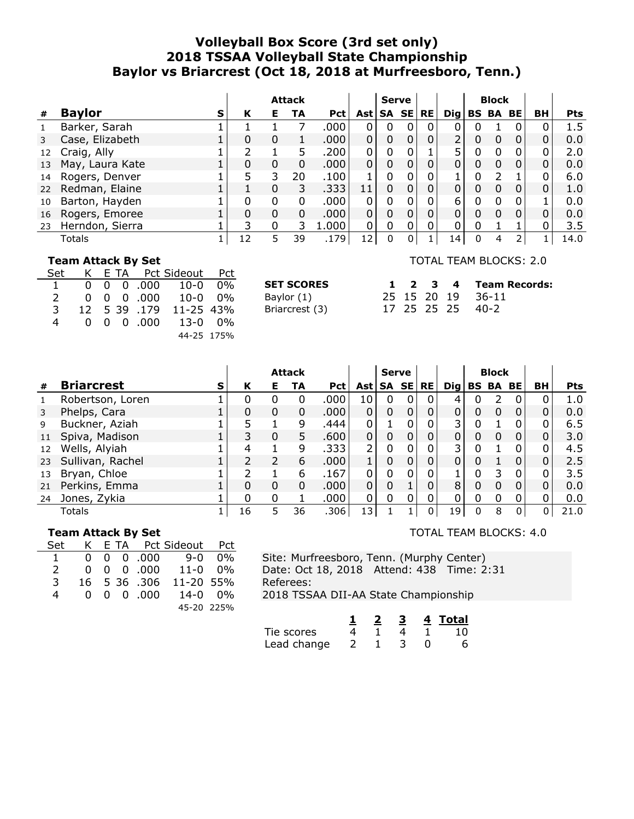# **Volleyball Box Score (3rd set only) 2018 TSSAA Volleyball State Championship Baylor vs Briarcrest (Oct 18, 2018 at Murfreesboro, Tenn.)**

|    |                 |   |    |   | <b>Attack</b> |            |                 | <b>Serve</b> |           |                 |   | <b>Block</b>    |   |                |            |
|----|-----------------|---|----|---|---------------|------------|-----------------|--------------|-----------|-----------------|---|-----------------|---|----------------|------------|
| #  | <b>Baylor</b>   | s | К  | Е | TA            | <b>Pct</b> | Ast l           | SA SE        | <b>RE</b> | $\mathbf{Di}$ g |   | <b>BS BA BE</b> |   | BH             | <b>Pts</b> |
| 1  | Barker, Sarah   |   |    |   |               | .000       | 0               | 0            | 0         | 0               |   |                 | 0 |                | 1.5        |
| 3  | Case, Elizabeth |   | 0  | 0 |               | .000.      | $\mathbf 0$     | $\mathbf 0$  | 0         | $\overline{2}$  | 0 | 0               | 0 | $\Omega$       | 0.0        |
| 12 | Craig, Ally     |   |    |   |               | .200       | $\mathbf 0$     | 0            |           | 5               | 0 |                 | 0 | $\Omega$       | 2.0        |
| 13 | May, Laura Kate |   | 0  | 0 | 0             | .000       | $\Omega$        | 0            |           | 0               | 0 |                 | 0 | $\overline{0}$ | 0.0        |
| 14 | Rogers, Denver  |   | 5  | 3 | 20            | .100       |                 | 0            | 0         |                 | 0 |                 |   | 0              | 6.0        |
| 22 | Redman, Elaine  |   |    | 0 | 3             | .333       | 11              | 0            |           | $\Omega$        | 0 |                 | 0 | $\Omega$       | 1.0        |
| 10 | Barton, Hayden  |   |    | 0 | 0             | .000       |                 | 0            | 0         | 6               | 0 |                 | 0 |                | 0.0        |
| 16 | Rogers, Emoree  |   | 0  | 0 | 0             | .000       | $\mathbf 0$     | 0            | 0         | $\Omega$        | 0 | $\Omega$        | 0 | $\mathbf{0}$   | 0.0        |
| 23 | Herndon, Sierra |   | 3  | O | 3.            | 1.000      | $\Omega$        | 0            | 0         | $\Omega$        | 0 |                 |   |                | 3.5        |
|    | Totals          |   | 12 | 5 | 39            | .179       | 12 <sub>1</sub> | 0            |           | 14              | 0 | 4               | 2 |                | 14.0       |

**SET SCORES** Baylor  $(1)$ Briarcrest (3)

#### **Team Attack By Set**

| Set           |  | K E TA Pct Sideout Pct |                                     |  |
|---------------|--|------------------------|-------------------------------------|--|
| $\mathbf{1}$  |  |                        | $0 \t 0 \t 0 \t 000 \t 10-0 \t 0\%$ |  |
| $\mathcal{L}$ |  |                        | $0 \t0 \t0 \t.000 \t10-0 \t0\%$     |  |
| 3             |  | 12 5 39 .179           | 11-25 43%                           |  |
| 4             |  | 0 0 0 000              | 13-0 0%                             |  |
|               |  |                        | 44-25 175%                          |  |

# TOTAL TEAM BLOCKS: 2.0

|  |  | 1 2 3 4 Team Records: |
|--|--|-----------------------|
|  |  | 25 15 20 19 36-11     |
|  |  | 17 25 25 25 40-2      |

|              |                   |   |    |               | <b>Attack</b> |            |                | <b>Serve</b> |   |           |     |   | <b>Block</b>    |          |    |            |
|--------------|-------------------|---|----|---------------|---------------|------------|----------------|--------------|---|-----------|-----|---|-----------------|----------|----|------------|
| #            | <b>Briarcrest</b> | S | К  | Е.            | TA            | <b>Pct</b> | <b>Ast</b>     | SA SE        |   | <b>RE</b> | Dig |   | <b>BS BA BE</b> |          | BH | <b>Pts</b> |
| $\mathbf{1}$ | Robertson, Loren  |   | 0  |               | 0             | .000       | 10             | 0            |   | 0         | 4   |   |                 | $\Omega$ |    | 1.0        |
| 3            | Phelps, Cara      |   | 0  | 0             | 0             | .000       | 0              | $\mathbf 0$  |   | 0         | 0   | 0 | 0               | $\Omega$ |    | 0.0        |
| 9            | Buckner, Aziah    |   | 5  |               | 9             | .444       | 0 <sub>1</sub> |              |   |           | 3   | 0 |                 |          |    | 6.5        |
| 11           | Spiva, Madison    |   | 3  | 0             | 5.            | .600       | 0              | $\mathbf 0$  |   |           | 0   | 0 | 0               | $\Omega$ |    | 3.0        |
| 12           | Wells, Alyiah     |   | 4  |               | 9             | .333       | $\overline{2}$ | 0            |   |           | 3   |   |                 |          |    | 4.5        |
| 23           | Sullivan, Rachel  |   |    | $\mathcal{P}$ | 6             | .000       |                | 0            |   |           | 0   | 0 |                 | 0        |    | 2.5        |
| 13           | Bryan, Chloe      |   |    |               | 6             | .167       | 0              | 0            |   |           |     | 0 |                 | 0        |    | 3.5        |
| 21           | Perkins, Emma     |   | 0  | 0             | 0             | .000       | 0              | $\Omega$     |   | 0         | 8   | 0 | 0               | $\Omega$ |    | 0.0        |
| 24           | Jones, Zykia      |   | 0  | 0             |               | .000       | 0              | 0            | 0 |           | 0   | 0 | 0               |          |    | 0.0        |
|              | Totals            |   | 16 |               | 36            | .306       | 13             |              |   |           | 19  | 0 | 8               | 0        | 0  | 21.0       |

#### **Team Attack By Set**

| Set           |  | K E TA Pct Sideout Pct        |                                 |  |
|---------------|--|-------------------------------|---------------------------------|--|
|               |  |                               | $0 \t0 \t0 \t.000 \t9-0 \t0\%$  |  |
| $\mathcal{L}$ |  |                               | $0 \t0 \t0 \t.000 \t11-0 \t0\%$ |  |
| 3             |  | 16 5 36 .306                  | 11-20 55%                       |  |
| 4             |  | $0 \quad 0 \quad 0 \quad 000$ | 14-0 0%                         |  |
|               |  |                               | 45-20 225%                      |  |

Site: Murfreesboro, Tenn. (Murphy Center) Date: Oct 18, 2018 Attend: 438 Time: 2:31 Referees: 2018 TSSAA DII-AA State Championship

**1 2 3 4 Total** Tie scores 4 1 4 1 10 Lead change  $2$  1 3 0 6

#### TOTAL TEAM BLOCKS: 4.0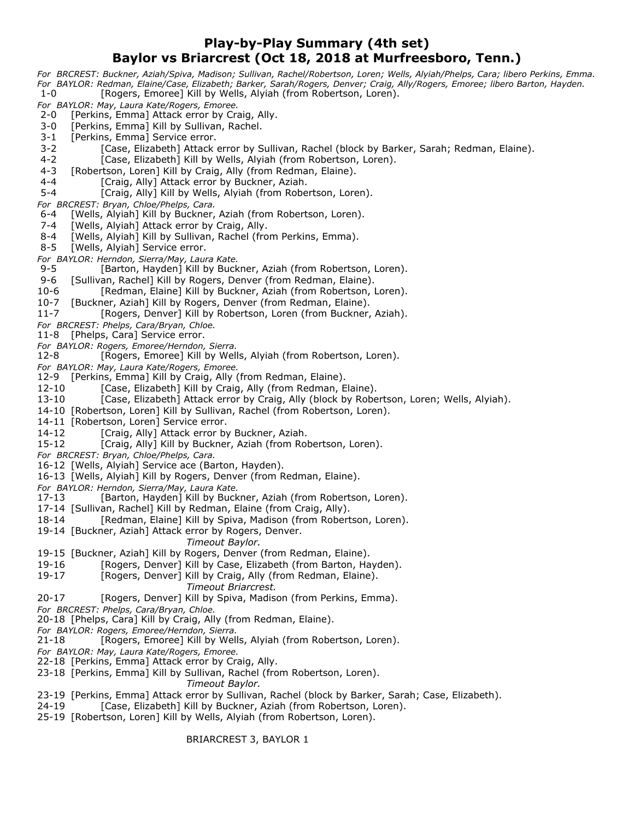## **Play-by-Play Summary (4th set) Baylor vs Briarcrest (Oct 18, 2018 at Murfreesboro, Tenn.)**

*For BRCREST: Buckner, Aziah/Spiva, Madison; Sullivan, Rachel/Robertson, Loren; Wells, Alyiah/Phelps, Cara; libero Perkins, Emma. For BAYLOR: Redman, Elaine/Case, Elizabeth; Barker, Sarah/Rogers, Denver; Craig, Ally/Rogers, Emoree; libero Barton, Hayden.* 1-0 [Rogers, Emoree] Kill by Wells, Alyiah (from Robertson, Loren). *For BAYLOR: May, Laura Kate/Rogers, Emoree.* 2-0 [Perkins, Emma] Attack error by Craig, Ally. 3-0 [Perkins, Emma] Kill by Sullivan, Rachel. 3-1 [Perkins, Emma] Service error. 3-2 [Case, Elizabeth] Attack error by Sullivan, Rachel (block by Barker, Sarah; Redman, Elaine). 4-2 [Case, Elizabeth] Kill by Wells, Alyiah (from Robertson, Loren). 4-3 [Robertson, Loren] Kill by Craig, Ally (from Redman, Elaine). 4-4 [Craig, Ally] Attack error by Buckner, Aziah. 5-4 [Craig, Ally] Kill by Wells, Alyiah (from Robertson, Loren). *For BRCREST: Bryan, Chloe/Phelps, Cara.* 6-4 [Wells, Alyiah] Kill by Buckner, Aziah (from Robertson, Loren). 7-4 [Wells, Alyiah] Attack error by Craig, Ally. 8-4 [Wells, Alyiah] Kill by Sullivan, Rachel (from Perkins, Emma). 8-5 [Wells, Alyiah] Service error. *For BAYLOR: Herndon, Sierra/May, Laura Kate.* [Barton, Hayden] Kill by Buckner, Aziah (from Robertson, Loren). 9-6 [Sullivan, Rachel] Kill by Rogers, Denver (from Redman, Elaine). 10-6 [Redman, Elaine] Kill by Buckner, Aziah (from Robertson, Loren). 10-7 [Buckner, Aziah] Kill by Rogers, Denver (from Redman, Elaine). 11-7 [Rogers, Denver] Kill by Robertson, Loren (from Buckner, Aziah). *For BRCREST: Phelps, Cara/Bryan, Chloe.* 11-8 [Phelps, Cara] Service error. *For BAYLOR: Rogers, Emoree/Herndon, Sierra.* [Rogers, Emoree] Kill by Wells, Alyiah (from Robertson, Loren). *For BAYLOR: May, Laura Kate/Rogers, Emoree.* 12-9 [Perkins, Emma] Kill by Craig, Ally (from Redman, Elaine). 12-10 [Case, Elizabeth] Kill by Craig, Ally (from Redman, Elaine). 13-10 [Case, Elizabeth] Attack error by Craig, Ally (block by Robertson, Loren; Wells, Alyiah). 14-10 [Robertson, Loren] Kill by Sullivan, Rachel (from Robertson, Loren). 14-11 [Robertson, Loren] Service error. 14-12 [Craig, Ally] Attack error by Buckner, Aziah. 15-12 [Craig, Ally] Kill by Buckner, Aziah (from Robertson, Loren). *For BRCREST: Bryan, Chloe/Phelps, Cara.* 16-12 [Wells, Alyiah] Service ace (Barton, Hayden). 16-13 [Wells, Alyiah] Kill by Rogers, Denver (from Redman, Elaine). *For BAYLOR: Herndon, Sierra/May, Laura Kate.* 17-13 [Barton, Hayden] Kill by Buckner, Aziah (from Robertson, Loren). 17-14 [Sullivan, Rachel] Kill by Redman, Elaine (from Craig, Ally). 18-14 [Redman, Elaine] Kill by Spiva, Madison (from Robertson, Loren). 19-14 [Buckner, Aziah] Attack error by Rogers, Denver. *Timeout Baylor.* 19-15 [Buckner, Aziah] Kill by Rogers, Denver (from Redman, Elaine). 19-16 [Rogers, Denver] Kill by Case, Elizabeth (from Barton, Hayden). 19-17 [Rogers, Denver] Kill by Craig, Ally (from Redman, Elaine). *Timeout Briarcrest.* 20-17 [Rogers, Denver] Kill by Spiva, Madison (from Perkins, Emma). *For BRCREST: Phelps, Cara/Bryan, Chloe.* 20-18 [Phelps, Cara] Kill by Craig, Ally (from Redman, Elaine). *For BAYLOR: Rogers, Emoree/Herndon, Sierra.* 21-18 [Rogers, Emoree] Kill by Wells, Alyiah (from Robertson, Loren). *For BAYLOR: May, Laura Kate/Rogers, Emoree.* 22-18 [Perkins, Emma] Attack error by Craig, Ally. 23-18 [Perkins, Emma] Kill by Sullivan, Rachel (from Robertson, Loren). *Timeout Baylor.* 23-19 [Perkins, Emma] Attack error by Sullivan, Rachel (block by Barker, Sarah; Case, Elizabeth). 24-19 [Case, Elizabeth] Kill by Buckner, Aziah (from Robertson, Loren).

25-19 [Robertson, Loren] Kill by Wells, Alyiah (from Robertson, Loren).